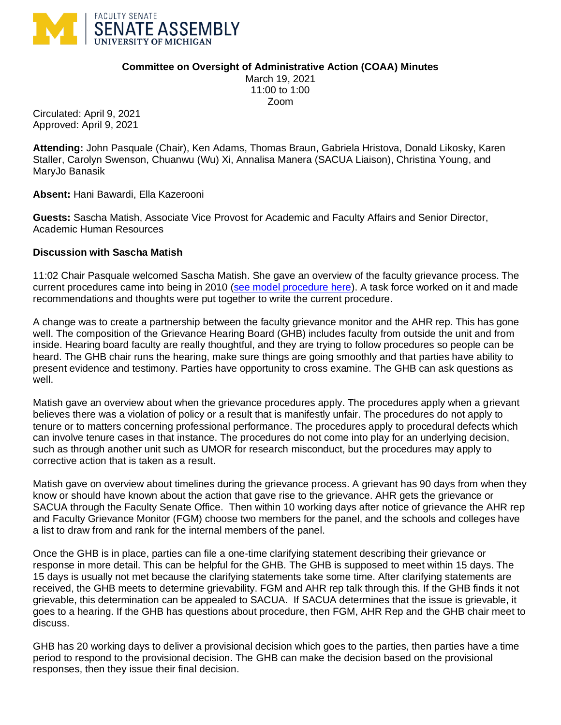

## **Committee on Oversight of Administrative Action (COAA) Minutes**

March 19, 2021 11:00 to 1:00 Zoom

Circulated: April 9, 2021 Approved: April 9, 2021

**Attending:** John Pasquale (Chair), Ken Adams, Thomas Braun, Gabriela Hristova, Donald Likosky, Karen Staller, Carolyn Swenson, Chuanwu (Wu) Xi, Annalisa Manera (SACUA Liaison), Christina Young, and MaryJo Banasik

**Absent:** Hani Bawardi, Ella Kazerooni

**Guests:** Sascha Matish, Associate Vice Provost for Academic and Faculty Affairs and Senior Director, Academic Human Resources

## **Discussion with Sascha Matish**

11:02 Chair Pasquale welcomed Sascha Matish. She gave an overview of the faculty grievance process. The current procedures came into being in 2010 [\(see model procedure here\)](https://facultysenate.umich.edu/wp-content/uploads/2020/06/Model-Grievance-Policy.pdf). A task force worked on it and made recommendations and thoughts were put together to write the current procedure.

A change was to create a partnership between the faculty grievance monitor and the AHR rep. This has gone well. The composition of the Grievance Hearing Board (GHB) includes faculty from outside the unit and from inside. Hearing board faculty are really thoughtful, and they are trying to follow procedures so people can be heard. The GHB chair runs the hearing, make sure things are going smoothly and that parties have ability to present evidence and testimony. Parties have opportunity to cross examine. The GHB can ask questions as well.

Matish gave an overview about when the grievance procedures apply. The procedures apply when a grievant believes there was a violation of policy or a result that is manifestly unfair. The procedures do not apply to tenure or to matters concerning professional performance. The procedures apply to procedural defects which can involve tenure cases in that instance. The procedures do not come into play for an underlying decision, such as through another unit such as UMOR for research misconduct, but the procedures may apply to corrective action that is taken as a result.

Matish gave on overview about timelines during the grievance process. A grievant has 90 days from when they know or should have known about the action that gave rise to the grievance. AHR gets the grievance or SACUA through the Faculty Senate Office. Then within 10 working days after notice of grievance the AHR rep and Faculty Grievance Monitor (FGM) choose two members for the panel, and the schools and colleges have a list to draw from and rank for the internal members of the panel.

Once the GHB is in place, parties can file a one-time clarifying statement describing their grievance or response in more detail. This can be helpful for the GHB. The GHB is supposed to meet within 15 days. The 15 days is usually not met because the clarifying statements take some time. After clarifying statements are received, the GHB meets to determine grievability. FGM and AHR rep talk through this. If the GHB finds it not grievable, this determination can be appealed to SACUA. If SACUA determines that the issue is grievable, it goes to a hearing. If the GHB has questions about procedure, then FGM, AHR Rep and the GHB chair meet to discuss.

GHB has 20 working days to deliver a provisional decision which goes to the parties, then parties have a time period to respond to the provisional decision. The GHB can make the decision based on the provisional responses, then they issue their final decision.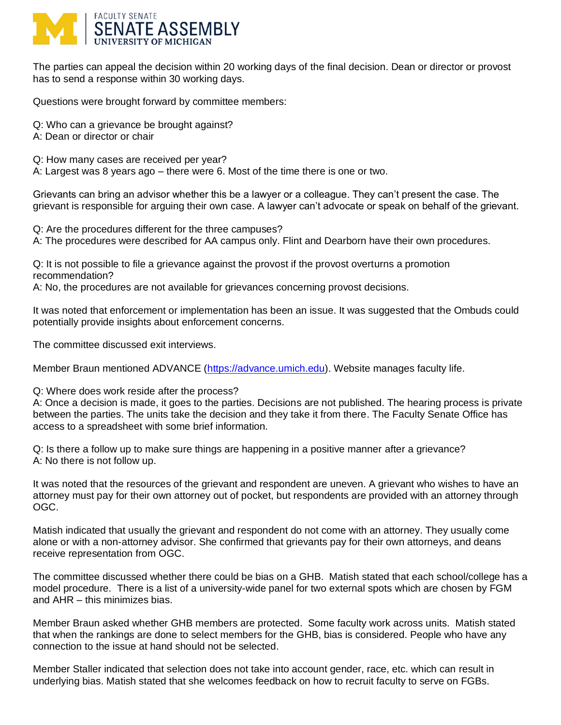

The parties can appeal the decision within 20 working days of the final decision. Dean or director or provost has to send a response within 30 working days.

Questions were brought forward by committee members:

Q: Who can a grievance be brought against?

A: Dean or director or chair

Q: How many cases are received per year?

A: Largest was 8 years ago – there were 6. Most of the time there is one or two.

Grievants can bring an advisor whether this be a lawyer or a colleague. They can't present the case. The grievant is responsible for arguing their own case. A lawyer can't advocate or speak on behalf of the grievant.

Q: Are the procedures different for the three campuses?

A: The procedures were described for AA campus only. Flint and Dearborn have their own procedures.

Q: It is not possible to file a grievance against the provost if the provost overturns a promotion recommendation?

A: No, the procedures are not available for grievances concerning provost decisions.

It was noted that enforcement or implementation has been an issue. It was suggested that the Ombuds could potentially provide insights about enforcement concerns.

The committee discussed exit interviews.

Member Braun mentioned ADVANCE [\(https://advance.umich.edu\)](https://advance.umich.edu/). Website manages faculty life.

Q: Where does work reside after the process?

A: Once a decision is made, it goes to the parties. Decisions are not published. The hearing process is private between the parties. The units take the decision and they take it from there. The Faculty Senate Office has access to a spreadsheet with some brief information.

Q: Is there a follow up to make sure things are happening in a positive manner after a grievance? A: No there is not follow up.

It was noted that the resources of the grievant and respondent are uneven. A grievant who wishes to have an attorney must pay for their own attorney out of pocket, but respondents are provided with an attorney through OGC.

Matish indicated that usually the grievant and respondent do not come with an attorney. They usually come alone or with a non-attorney advisor. She confirmed that grievants pay for their own attorneys, and deans receive representation from OGC.

The committee discussed whether there could be bias on a GHB. Matish stated that each school/college has a model procedure. There is a list of a university-wide panel for two external spots which are chosen by FGM and AHR – this minimizes bias.

Member Braun asked whether GHB members are protected. Some faculty work across units. Matish stated that when the rankings are done to select members for the GHB, bias is considered. People who have any connection to the issue at hand should not be selected.

Member Staller indicated that selection does not take into account gender, race, etc. which can result in underlying bias. Matish stated that she welcomes feedback on how to recruit faculty to serve on FGBs.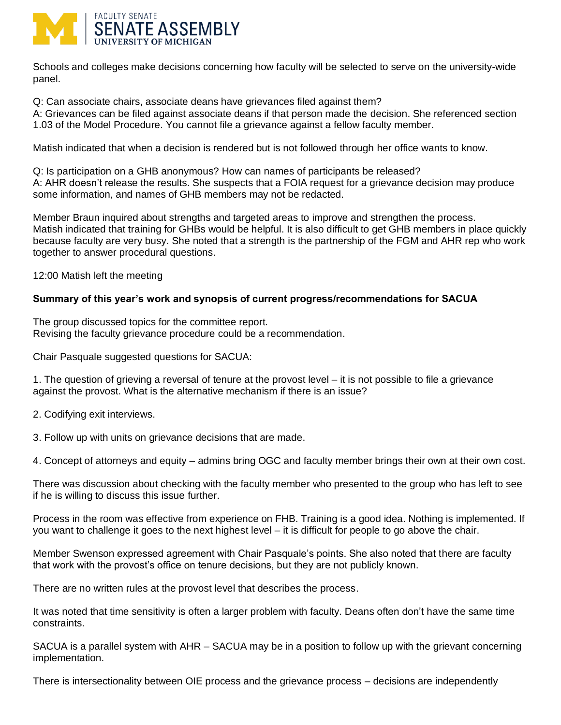

Schools and colleges make decisions concerning how faculty will be selected to serve on the university-wide panel.

Q: Can associate chairs, associate deans have grievances filed against them?

A: Grievances can be filed against associate deans if that person made the decision. She referenced section 1.03 of the Model Procedure. You cannot file a grievance against a fellow faculty member.

Matish indicated that when a decision is rendered but is not followed through her office wants to know.

Q: Is participation on a GHB anonymous? How can names of participants be released? A: AHR doesn't release the results. She suspects that a FOIA request for a grievance decision may produce some information, and names of GHB members may not be redacted.

Member Braun inquired about strengths and targeted areas to improve and strengthen the process. Matish indicated that training for GHBs would be helpful. It is also difficult to get GHB members in place quickly because faculty are very busy. She noted that a strength is the partnership of the FGM and AHR rep who work together to answer procedural questions.

12:00 Matish left the meeting

## **Summary of this year's work and synopsis of current progress/recommendations for SACUA**

The group discussed topics for the committee report. Revising the faculty grievance procedure could be a recommendation.

Chair Pasquale suggested questions for SACUA:

1. The question of grieving a reversal of tenure at the provost level – it is not possible to file a grievance against the provost. What is the alternative mechanism if there is an issue?

- 2. Codifying exit interviews.
- 3. Follow up with units on grievance decisions that are made.

4. Concept of attorneys and equity – admins bring OGC and faculty member brings their own at their own cost.

There was discussion about checking with the faculty member who presented to the group who has left to see if he is willing to discuss this issue further.

Process in the room was effective from experience on FHB. Training is a good idea. Nothing is implemented. If you want to challenge it goes to the next highest level – it is difficult for people to go above the chair.

Member Swenson expressed agreement with Chair Pasquale's points. She also noted that there are faculty that work with the provost's office on tenure decisions, but they are not publicly known.

There are no written rules at the provost level that describes the process.

It was noted that time sensitivity is often a larger problem with faculty. Deans often don't have the same time constraints.

SACUA is a parallel system with AHR – SACUA may be in a position to follow up with the grievant concerning implementation.

There is intersectionality between OIE process and the grievance process – decisions are independently